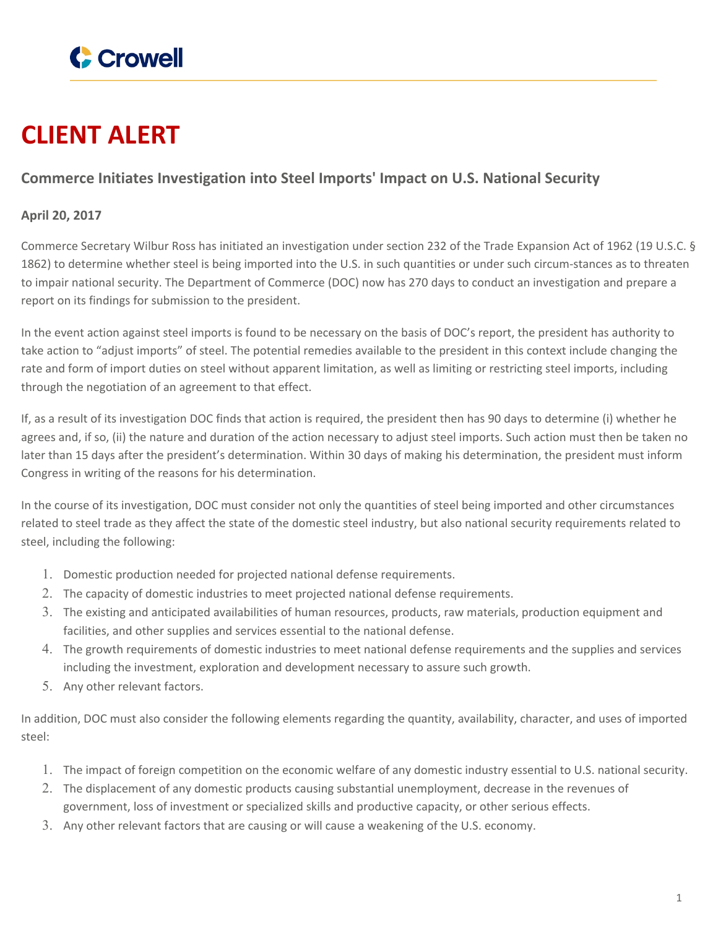

## **CLIENT ALERT**

## **Commerce Initiates Investigation into Steel Imports' Impact on U.S. National Security**

## **April 20, 2017**

Commerce Secretary Wilbur Ross has initiated an investigation under section 232 of the Trade Expansion Act of 1962 (19 U.S.C. § 1862) to determine whether steel is being imported into the U.S. in such quantities or under such circum-stances as to threaten to impair national security. The Department of Commerce (DOC) now has 270 days to conduct an investigation and prepare a report on its findings for submission to the president.

In the event action against steel imports is found to be necessary on the basis of DOC's report, the president has authority to take action to "adjust imports" of steel. The potential remedies available to the president in this context include changing the rate and form of import duties on steel without apparent limitation, as well as limiting or restricting steel imports, including through the negotiation of an agreement to that effect.

If, as a result of its investigation DOC finds that action is required, the president then has 90 days to determine (i) whether he agrees and, if so, (ii) the nature and duration of the action necessary to adjust steel imports. Such action must then be taken no later than 15 days after the president's determination. Within 30 days of making his determination, the president must inform Congress in writing of the reasons for his determination.

In the course of its investigation, DOC must consider not only the quantities of steel being imported and other circumstances related to steel trade as they affect the state of the domestic steel industry, but also national security requirements related to steel, including the following:

- 1. Domestic production needed for projected national defense requirements.
- 2. The capacity of domestic industries to meet projected national defense requirements.
- 3. The existing and anticipated availabilities of human resources, products, raw materials, production equipment and facilities, and other supplies and services essential to the national defense.
- 4. The growth requirements of domestic industries to meet national defense requirements and the supplies and services including the investment, exploration and development necessary to assure such growth.
- 5. Any other relevant factors.

In addition, DOC must also consider the following elements regarding the quantity, availability, character, and uses of imported steel:

- 1. The impact of foreign competition on the economic welfare of any domestic industry essential to U.S. national security.
- 2. The displacement of any domestic products causing substantial unemployment, decrease in the revenues of government, loss of investment or specialized skills and productive capacity, or other serious effects.
- 3. Any other relevant factors that are causing or will cause a weakening of the U.S. economy.